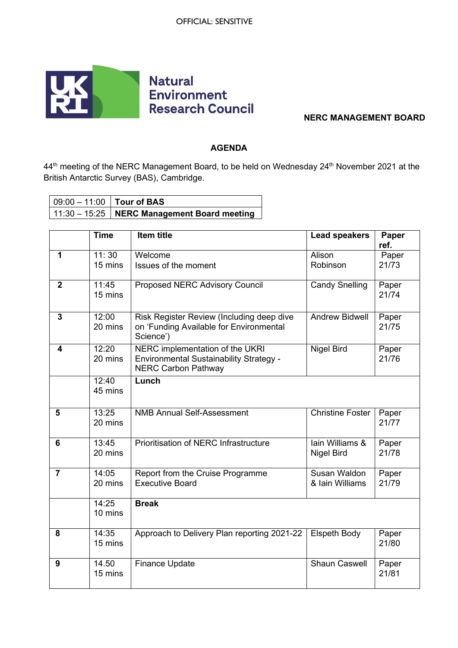

## **NERC MANAGEMENT BOARD**

## **AGENDA**

44<sup>th</sup> meeting of the NERC Management Board, to be held on Wednesday 24<sup>th</sup> November 2021 at the British Antarctic Survey (BAS), Cambridge.

| $\vert$ 09:00 – 11:00 $\vert$ Tour of BAS |                                                             |
|-------------------------------------------|-------------------------------------------------------------|
|                                           | $\vert$ 11:30 - 15:25 $\vert$ NERC Management Board meeting |

|                | <b>Time</b>      | Item title                                                                                               | <b>Lead speakers</b>            | Paper<br>ref.  |
|----------------|------------------|----------------------------------------------------------------------------------------------------------|---------------------------------|----------------|
| $\mathbf 1$    | 11:30<br>15 mins | Welcome<br>Issues of the moment                                                                          | Alison<br>Robinson              | Paper<br>21/73 |
| $\overline{2}$ | 11:45<br>15 mins | <b>Proposed NERC Advisory Council</b>                                                                    | <b>Candy Snelling</b>           | Paper<br>21/74 |
| 3              | 12:00<br>20 mins | Risk Register Review (Including deep dive<br>on 'Funding Available for Environmental<br>Science')        | <b>Andrew Bidwell</b>           | Paper<br>21/75 |
| 4              | 12:20<br>20 mins | NERC implementation of the UKRI<br>Environmental Sustainability Strategy -<br><b>NERC Carbon Pathway</b> | <b>Nigel Bird</b>               | Paper<br>21/76 |
|                | 12:40<br>45 mins | Lunch                                                                                                    |                                 |                |
| 5              | 13:25<br>20 mins | <b>NMB Annual Self-Assessment</b>                                                                        | <b>Christine Foster</b>         | Paper<br>21/77 |
| 6              | 13:45<br>20 mins | <b>Prioritisation of NERC Infrastructure</b>                                                             | lain Williams &<br>Nigel Bird   | Paper<br>21/78 |
| $\overline{7}$ | 14:05<br>20 mins | Report from the Cruise Programme<br><b>Executive Board</b>                                               | Susan Waldon<br>& Iain Williams | Paper<br>21/79 |
|                | 14:25<br>10 mins | <b>Break</b>                                                                                             |                                 |                |
| 8              | 14:35<br>15 mins | Approach to Delivery Plan reporting 2021-22                                                              | <b>Elspeth Body</b>             | Paper<br>21/80 |
| 9              | 14.50<br>15 mins | <b>Finance Update</b>                                                                                    | <b>Shaun Caswell</b>            | Paper<br>21/81 |